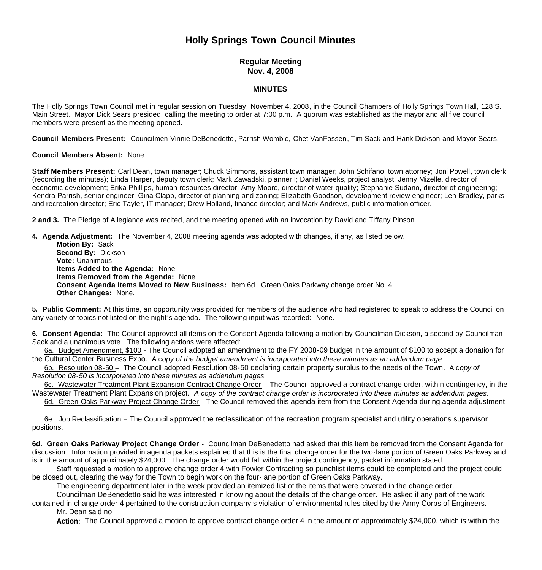## **Holly Springs Town Council Minutes**

## **Regular Meeting Nov. 4, 2008**

## **MINUTES**

The Holly Springs Town Council met in regular session on Tuesday, November 4, 2008, in the Council Chambers of Holly Springs Town Hall, 128 S. Main Street. Mayor Dick Sears presided, calling the meeting to order at 7:00 p.m. A quorum was established as the mayor and all five council members were present as the meeting opened.

**Council Members Present:** Councilmen Vinnie DeBenedetto, Parrish Womble, Chet VanFossen, Tim Sack and Hank Dickson and Mayor Sears.

## **Council Members Absent:** None.

**Staff Members Present:** Carl Dean, town manager; Chuck Simmons, assistant town manager; John Schifano, town attorney; Joni Powell, town clerk (recording the minutes); Linda Harper, deputy town clerk; Mark Zawadski, planner I; Daniel Weeks, project analyst; Jenny Mizelle, director of economic development; Erika Phillips, human resources director; Amy Moore, director of water quality; Stephanie Sudano, director of engineering; Kendra Parrish, senior engineer; Gina Clapp, director of planning and zoning; Elizabeth Goodson, development review engineer; Len Bradley, parks and recreation director; Eric Tayler, IT manager; Drew Holland, finance director; and Mark Andrews, public information officer.

**2 and 3.** The Pledge of Allegiance was recited, and the meeting opened with an invocation by David and Tiffany Pinson.

**4. Agenda Adjustment:** The November 4, 2008 meeting agenda was adopted with changes, if any, as listed below. **Motion By:** Sack **Second By:** Dickson **Vote:** Unanimous  **Items Added to the Agenda:** None. **Items Removed from the Agenda:** None. **Consent Agenda Items Moved to New Business:** Item 6d., Green Oaks Parkway change order No. 4. **Other Changes:** None.

**5. Public Comment:** At this time, an opportunity was provided for members of the audience who had registered to speak to address the Council on any variety of topics not listed on the night's agenda. The following input was recorded: None.

**6. Consent Agenda:** The Council approved all items on the Consent Agenda following a motion by Councilman Dickson, a second by Councilman Sack and a unanimous vote. The following actions were affected:

 6a. Budget Amendment, \$100 - The Council adopted an amendment to the FY 2008-09 budget in the amount of \$100 to accept a donation for the Cultural Center Business Expo. A c*opy of the budget amendment is incorporated into these minutes as an addendum page.*

6b. Resolution 08-50 – The Council adopted Resolution 08-50 declaring certain property surplus to the needs of the Town. A c*opy of Resolution 08-50 is incorporated into these minutes as addendum pages.*

 6c. Wastewater Treatment Plant Expansion Contract Change Order – The Council approved a contract change order, within contingency, in the Wastewater Treatment Plant Expansion project. *A copy of the contract change order is incorporated into these minutes as addendum pages.*

6d. Green Oaks Parkway Project Change Order - The Council removed this agenda item from the Consent Agenda during agenda adjustment.

6e. Job Reclassification – The Council approved the reclassification of the recreation program specialist and utility operations supervisor positions.

**6d. Green Oaks Parkway Project Change Order -** Councilman DeBenedetto had asked that this item be removed from the Consent Agenda for discussion. Information provided in agenda packets explained that this is the final change order for the two-lane portion of Green Oaks Parkway and is in the amount of approximately \$24,000. The change order would fall within the project contingency, packet information stated.

Staff requested a motion to approve change order 4 with Fowler Contracting so punchlist items could be completed and the project could be closed out, clearing the way for the Town to begin work on the four-lane portion of Green Oaks Parkway.

The engineering department later in the week provided an itemized list of the items that were covered in the change order.

Councilman DeBenedetto said he was interested in knowing about the details of the change order. He asked if any part of the work contained in change order 4 pertained to the construction company's violation of environmental rules cited by the Army Corps of Engineers. Mr. Dean said no.

 **Action:** The Council approved a motion to approve contract change order 4 in the amount of approximately \$24,000, which is within the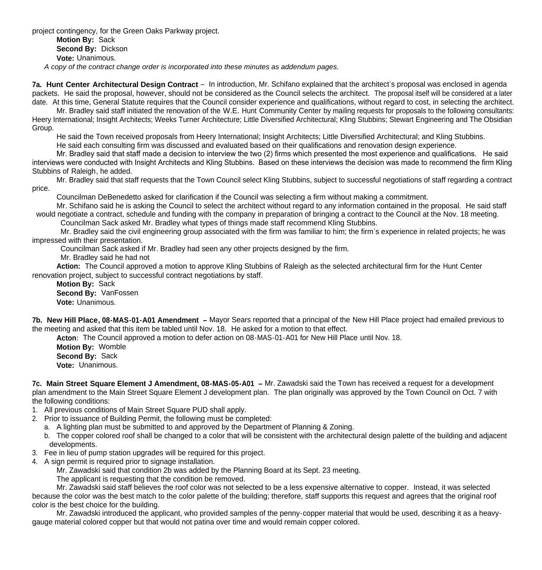project contingency, for the Green Oaks Parkway project. **Motion By:** Sack **Second By:** Dickson **Vote:** Unanimous.  *A copy of the contract change order is incorporated into these minutes as addendum pages.*

**7a. Hunt Center Architectural Design Contract** – In introduction, Mr. Schifano explained that the architect's proposal was enclosed in agenda packets. He said the proposal, however, should not be considered as the Council selects the architect. The proposal itself will be considered at a later date. At this time, General Statute requires that the Council consider experience and qualifications, without regard to cost, in selecting the architect.

Mr. Bradley said staff initiated the renovation of the W.E. Hunt Community Center by mailing requests for proposals to the following consultants: Heery International; Insight Architects; Weeks Turner Architecture; Little Diversified Architectural; Kling Stubbins; Stewart Engineering and The Obsidian Group.

He said the Town received proposals from Heery International; Insight Architects; Little Diversified Architectural; and Kling Stubbins.

He said each consulting firm was discussed and evaluated based on their qualifications and renovation design experience.

 Mr. Bradley said that staff made a decision to interview the two (2) firms which presented the most experience and qualifications. He said interviews were conducted with Insight Architects and Kling Stubbins. Based on these interviews the decision was made to recommend the firm Kling Stubbins of Raleigh, he added.

 Mr. Bradley said that staff requests that the Town Council select Kling Stubbins, subject to successful negotiations of staff regarding a contract price.

Councilman DeBenedetto asked for clarification if the Council was selecting a firm without making a commitment.

Mr. Schifano said he is asking the Council to select the architect without regard to any information contained in the proposal. He said staff would negotiate a contract, schedule and funding with the company in preparation of bringing a contract to the Council at the Nov. 18 meeting. Councilman Sack asked Mr. Bradley what types of things made staff recommend Kling Stubbins.

Mr. Bradley said the civil engineering group associated with the firm was familiar to him; the firm's experience in related projects; he was impressed with their presentation.

Councilman Sack asked if Mr. Bradley had seen any other projects designed by the firm.

Mr. Bradley said he had not

**Action:** The Council approved a motion to approve Kling Stubbins of Raleigh as the selected architectural firm for the Hunt Center renovation project, subject to successful contract negotiations by staff.

**Motion By:** Sack **Second By:** VanFossen **Vote:** Unanimous.

**7b. New Hill Place, 08-MAS-01-A01 Amendment –** Mayor Sears reported that a principal of the New Hill Place project had emailed previous to the meeting and asked that this item be tabled until Nov. 18. He asked for a motion to that effect.

**Acton:** The Council approved a motion to defer action on 08-MAS-01-A01 for New Hill Place until Nov. 18.

**Motion By:** Womble **Second By:** Sack **Vote:** Unanimous.

**7c. Main Street Square Element J Amendment, 08-MAS-05-A01 –** Mr. Zawadski said the Town has received a request for a development plan amendment to the Main Street Square Element J development plan. The plan originally was approved by the Town Council on Oct. 7 with the following conditions:

- 1. All previous conditions of Main Street Square PUD shall apply.
- 2. Prior to issuance of Building Permit, the following must be completed:
	- a. A lighting plan must be submitted to and approved by the Department of Planning & Zoning.
	- b. The copper colored roof shall be changed to a color that will be consistent with the architectural design palette of the building and adjacent developments.
- 3. Fee in lieu of pump station upgrades will be required for this project.
- 4. A sign permit is required prior to signage installation.
	- Mr. Zawadski said that condition 2b was added by the Planning Board at its Sept. 23 meeting.
		- The applicant is requesting that the condition be removed.

 Mr. Zawadski said staff believes the roof color was not selected to be a less expensive alternative to copper. Instead, it was selected because the color was the best match to the color palette of the building; therefore, staff supports this request and agrees that the original roof color is the best choice for the building.

 Mr. Zawadski introduced the applicant, who provided samples of the penny-copper material that would be used, describing it as a heavygauge material colored copper but that would not patina over time and would remain copper colored.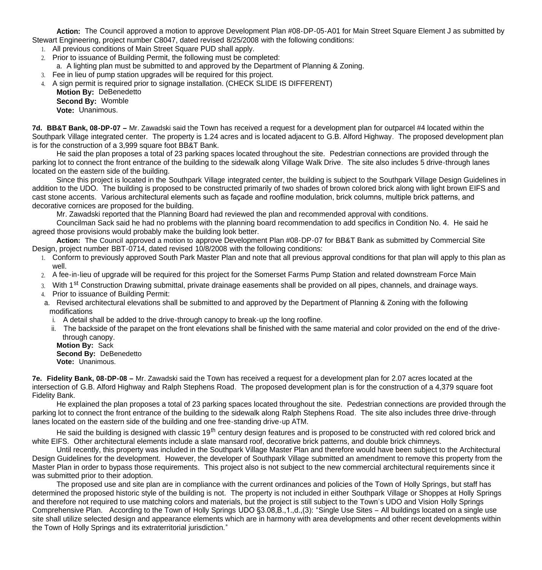**Action:** The Council approved a motion to approve Development Plan #08-DP-05-A01 for Main Street Square Element J as submitted by Stewart Engineering, project number C8047, dated revised 8/25/2008 with the following conditions:

- 1. All previous conditions of Main Street Square PUD shall apply.
- 2. Prior to issuance of Building Permit, the following must be completed:
- a. A lighting plan must be submitted to and approved by the Department of Planning & Zoning.
- 3. Fee in lieu of pump station upgrades will be required for this project.
- 4. A sign permit is required prior to signage installation. (CHECK SLIDE IS DIFFERENT)

**Motion By:** DeBenedetto **Second By:** Womble **Vote:** Unanimous.

**7d. BB&T Bank, 08-DP-07 –** Mr. Zawadski said the Town has received a request for a development plan for outparcel #4 located within the Southpark Village integrated center. The property is 1.24 acres and is located adjacent to G.B. Alford Highway. The proposed development plan is for the construction of a 3,999 square foot BB&T Bank.

He said the plan proposes a total of 23 parking spaces located throughout the site. Pedestrian connections are provided through the parking lot to connect the front entrance of the building to the sidewalk along Village Walk Drive. The site also includes 5 drive-through lanes located on the eastern side of the building.

Since this project is located in the Southpark Village integrated center, the building is subject to the Southpark Village Design Guidelines in addition to the UDO. The building is proposed to be constructed primarily of two shades of brown colored brick along with light brown EIFS and cast stone accents. Various architectural elements such as façade and roofline modulation, brick columns, multiple brick patterns, and decorative cornices are proposed for the building.

Mr. Zawadski reported that the Planning Board had reviewed the plan and recommended approval with conditions.

Councilman Sack said he had no problems with the planning board recommendation to add specifics in Condition No. 4. He said he agreed those provisions would probably make the building look better.

**Action:** The Council approved a motion to approve Development Plan #08-DP-07 for BB&T Bank as submitted by Commercial Site Design, project number BBT-0714, dated revised 10/8/2008 with the following conditions:

- 1. Conform to previously approved South Park Master Plan and note that all previous approval conditions for that plan will apply to this plan as well.
- 2. A fee-in-lieu of upgrade will be required for this project for the Somerset Farms Pump Station and related downstream Force Main
- 3. With 1<sup>st</sup> Construction Drawing submittal, private drainage easements shall be provided on all pipes, channels, and drainage ways.
- 4. Prior to issuance of Building Permit:
- a. Revised architectural elevations shall be submitted to and approved by the Department of Planning & Zoning with the following modifications
	- i. A detail shall be added to the drive-through canopy to break-up the long roofline.
	- ii. The backside of the parapet on the front elevations shall be finished with the same material and color provided on the end of the drivethrough canopy.

**Motion By:** Sack **Second By:** DeBenedetto **Vote:** Unanimous.

**7e. Fidelity Bank, 08-DP-08 –** Mr. Zawadski said the Town has received a request for a development plan for 2.07 acres located at the intersection of G.B. Alford Highway and Ralph Stephens Road. The proposed development plan is for the construction of a 4,379 square foot Fidelity Bank.

 He explained the plan proposes a total of 23 parking spaces located throughout the site. Pedestrian connections are provided through the parking lot to connect the front entrance of the building to the sidewalk along Ralph Stephens Road. The site also includes three drive-through lanes located on the eastern side of the building and one free-standing drive-up ATM.

He said the building is designed with classic 19<sup>th</sup> century design features and is proposed to be constructed with red colored brick and white EIFS. Other architectural elements include a slate mansard roof, decorative brick patterns, and double brick chimneys.

 Until recently, this property was included in the Southpark Village Master Plan and therefore would have been subject to the Architectural Design Guidelines for the development. However, the developer of Southpark Village submitted an amendment to remove this property from the Master Plan in order to bypass those requirements. This project also is not subject to the new commercial architectural requirements since it was submitted prior to their adoption.

 The proposed use and site plan are in compliance with the current ordinances and policies of the Town of Holly Springs, but staff has determined the proposed historic style of the building is not. The property is not included in either Southpark Village or Shoppes at Holly Springs and therefore not required to use matching colors and materials, but the project is still subject to the Town's UDO and Vision Holly Springs Comprehensive Plan. According to the Town of Holly Springs UDO §3.08,B.,1.,d.,(3): "Single Use Sites – All buildings located on a single use site shall utilize selected design and appearance elements which are in harmony with area developments and other recent developments within the Town of Holly Springs and its extraterritorial jurisdiction."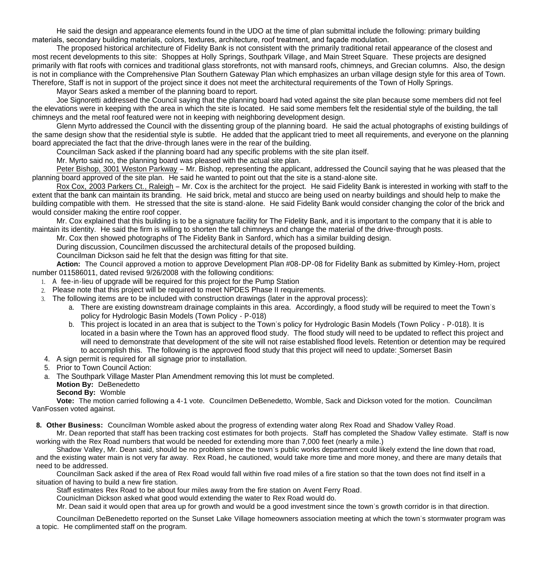He said the design and appearance elements found in the UDO at the time of plan submittal include the following: primary building materials, secondary building materials, colors, textures, architecture, roof treatment, and façade modulation.

 The proposed historical architecture of Fidelity Bank is not consistent with the primarily traditional retail appearance of the closest and most recent developments to this site: Shoppes at Holly Springs, Southpark Village, and Main Street Square. These projects are designed primarily with flat roofs with cornices and traditional glass storefronts, not with mansard roofs, chimneys, and Grecian columns. Also, the design is not in compliance with the Comprehensive Plan Southern Gateway Plan which emphasizes an urban village design style for this area of Town. Therefore, Staff is not in support of the project since it does not meet the architectural requirements of the Town of Holly Springs.

Mayor Sears asked a member of the planning board to report.

 Joe Signoretti addressed the Council saying that the planning board had voted against the site plan because some members did not feel the elevations were in keeping with the area in which the site is located. He said some members felt the residential style of the building, the tall chimneys and the metal roof featured were not in keeping with neighboring development design.

 Glenn Myrto addressed the Council with the dissenting group of the planning board. He said the actual photographs of existing buildings of the same design show that the residential style is subtle. He added that the applicant tried to meet all requirements, and everyone on the planning board appreciated the fact that the drive-through lanes were in the rear of the building.

Councilman Sack asked if the planning board had any specific problems with the site plan itself.

Mr. Myrto said no, the planning board was pleased with the actual site plan.

 Peter Bishop, 3001 Weston Parkway – Mr. Bishop, representing the applicant, addressed the Council saying that he was pleased that the planning board approved of the site plan. He said he wanted to point out that the site is a stand-alone site.

 Rox Cox, 2003 Parkers Ct., Raleigh – Mr. Cox is the architect for the project. He said Fidelity Bank is interested in working with staff to the extent that the bank can maintain its branding. He said brick, metal and stucco are being used on nearby buildings and should help to make the building compatible with them. He stressed that the site is stand-alone. He said Fidelity Bank would consider changing the color of the brick and would consider making the entire roof copper.

 Mr. Cox explained that this building is to be a signature facility for The Fidelity Bank, and it is important to the company that it is able to maintain its identity. He said the firm is willing to shorten the tall chimneys and change the material of the drive-through posts.

Mr. Cox then showed photographs of The Fidelity Bank in Sanford, which has a similar building design.

During discussion, Councilmen discussed the architectural details of the proposed building.

Councilman Dickson said he felt that the design was fitting for that site.

**Action:** The Council approved a motion to approve Development Plan #08-DP-08 for Fidelity Bank as submitted by Kimley-Horn, project number 011586011, dated revised 9/26/2008 with the following conditions:

- 1. A fee-in-lieu of upgrade will be required for this project for the Pump Station
- 2. Please note that this project will be required to meet NPDES Phase II requirements.
- 3. The following items are to be included with construction drawings (later in the approval process):
	- a. There are existing downstream drainage complaints in this area. Accordingly, a flood study will be required to meet the Town's policy for Hydrologic Basin Models (Town Policy - P-018)
	- b. This project is located in an area that is subject to the Town's policy for Hydrologic Basin Models (Town Policy P-018). It is located in a basin where the Town has an approved flood study. The flood study will need to be updated to reflect this project and will need to demonstrate that development of the site will not raise established flood levels. Retention or detention may be required to accomplish this. The following is the approved flood study that this project will need to update: Somerset Basin
- 4. A sign permit is required for all signage prior to installation.
- 5. Prior to Town Council Action:
- a. The Southpark Village Master Plan Amendment removing this lot must be completed.
	- **Motion By:** DeBenedetto
	- **Second By:** Womble

 **Vote:** The motion carried following a 4-1 vote. Councilmen DeBenedetto, Womble, Sack and Dickson voted for the motion. Councilman VanFossen voted against.

**8. Other Business:** Councilman Womble asked about the progress of extending water along Rex Road and Shadow Valley Road.

Mr. Dean reported that staff has been tracking cost estimates for both projects. Staff has completed the Shadow Valley estimate. Staff is now working with the Rex Road numbers that would be needed for extending more than 7,000 feet (nearly a mile.)

Shadow Valley, Mr. Dean said, should be no problem since the town's public works department could likely extend the line down that road, and the existing water main is not very far away. Rex Road, he cautioned, would take more time and more money, and there are many details that need to be addressed.

Councilman Sack asked if the area of Rex Road would fall within five road miles of a fire station so that the town does not find itself in a situation of having to build a new fire station.

Staff estimates Rex Road to be about four miles away from the fire station on Avent Ferry Road.

Couniclman Dickson asked what good would extending the water to Rex Road would do.

Mr. Dean said it would open that area up for growth and would be a good investment since the town's growth corridor is in that direction.

Councilman DeBenedetto reported on the Sunset Lake Village homeowners association meeting at which the town's stormwater program was a topic. He complimented staff on the program.